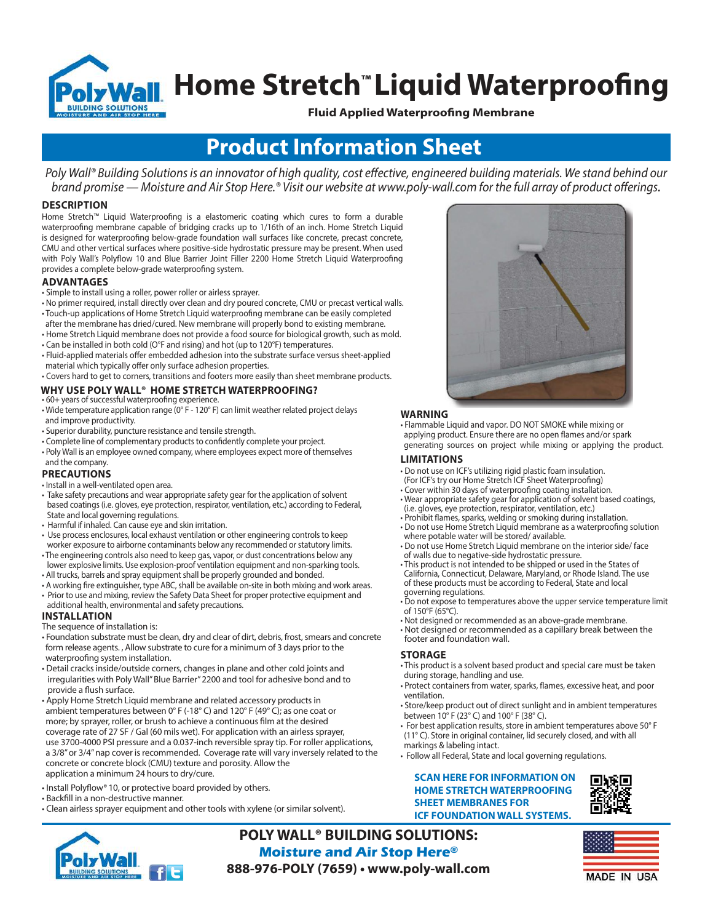

# **<u>boly Wall</u> Home Stretch™ Liquid Waterproofing**

**Fluid Applied Waterproofing Membrane**

# **Product Information Sheet**

Poly Wall® Building Solutions is an innovator of high quality, cost effective, engineered building materials. We stand behind our brand promise — Moisture and Air Stop Here.® Visit our website at www.poly-wall.com for the full array of product offerings.

#### **DESCRIPTION**

Home Stretch™ Liquid Waterproofing is a elastomeric coating which cures to form a durable waterproofing membrane capable of bridging cracks up to 1/16th of an inch. Home Stretch Liquid is designed for waterproofing below-grade foundation wall surfaces like concrete, precast concrete, CMU and other vertical surfaces where positive-side hydrostatic pressure may be present. When used with Poly Wall's Polyflow 10 and Blue Barrier Joint Filler 2200 Home Stretch Liquid Waterproofing provides a complete below-grade waterproofing system.

#### **ADVANTAGES**

- Simple to install using a roller, power roller or airless sprayer.
- No primer required, install directly over clean and dry poured concrete, CMU or precast vertical walls. • Touch-up applications of Home Stretch Liquid waterproofing membrane can be easily completed
- after the membrane has dried/cured. New membrane will properly bond to existing membrane.
- Home Stretch Liquid membrane does not provide a food source for biological growth, such as mold. • Can be installed in both cold (O°F and rising) and hot (up to 120°F) temperatures.
- Fluid-applied materials offer embedded adhesion into the substrate surface versus sheet-applied material which typically offer only surface adhesion properties.
- Covers hard to get to corners, transitions and footers more easily than sheet membrane products.

#### **WHY USE POLY WALL® HOME STRETCH WATERPROOFING?** • 60+ years of successful waterproofing experience.

- Wide temperature application range (0° F 120° F) can limit weather related project delays and improve productivity.
- Superior durability, puncture resistance and tensile strength.
- Complete line of complementary products to confidently complete your project.
- Poly Wall is an employee owned company, where employees expect more of themselves

#### and the company. **PRECAUTIONS**

- Install in a well-ventilated open area.
- Take safety precautions and wear appropriate safety gear for the application of solvent based coatings (i.e. gloves, eye protection, respirator, ventilation, etc.) according to Federal, State and local governing regulations.
- Harmful if inhaled. Can cause eye and skin irritation.
- Use process enclosures, local exhaust ventilation or other engineering controls to keep worker exposure to airborne contaminants below any recommended or statutory limits. • The engineering controls also need to keep gas, vapor, or dust concentrations below any
- lower explosive limits. Use explosion-proof ventilation equipment and non-sparking tools. • All trucks, barrels and spray equipment shall be properly grounded and bonded.
- A working fire extinguisher, type ABC, shall be available on-site in both mixing and work areas.
- Prior to use and mixing, review the Safety Data Sheet for proper protective equipment and
- **INSTALLATION** additional health, environmental and safety precautions.

#### The sequence of installation is:

- Foundation substrate must be clean, dry and clear of dirt, debris, frost, smears and concrete form release agents. , Allow substrate to cure for a minimum of 3 days prior to the waterproofing system installation.
- Detail cracks inside/outside corners, changes in plane and other cold joints and irregularities with Poly Wall" Blue Barrier" 2200 and tool for adhesive bond and to provide a flush surface.
- Apply Home Stretch Liquid membrane and related accessory products in ambient temperatures between 0° F (-18° C) and 120° F (49° C); as one coat or more; by sprayer, roller, or brush to achieve a continuous film at the desired coverage rate of 27 SF / Gal (60 mils wet). For application with an airless sprayer, use 3700-4000 PSI pressure and a 0.037-inch reversible spray tip. For roller applications, a 3/8" or 3/4" nap cover is recommended. Coverage rate will vary inversely related to the concrete or concrete block (CMU) texture and porosity. Allow the application a minimum 24 hours to dry/cure.
- Install Polyflow® 10, or protective board provided by others.
- Backfill in a non-destructive manner.
- Clean airless sprayer equipment and other tools with xylene (or similar solvent).



**POLY WALL® BUILDING SOLUTIONS: Moisture and Air Stop Here® 888-976-POLY (7659) • www.poly-wall.com**



## **WARNING**

• Flammable Liquid and vapor. DO NOT SMOKE while mixing or

 applying product. Ensure there are no open flames and/or spark generating sources on project while mixing or applying the product.

#### **LIMITATIONS**

- Do not use on ICF's utilizing rigid plastic foam insulation.
- (For ICF's try our Home Stretch ICF Sheet Waterproofing)
- Cover within 30 days of waterproofing coating installation.
- Wear appropriate safety gear for application of solvent based coatings,
- (i.e. gloves, eye protection, respirator, ventilation, etc.)
- Prohibit flames, sparks, welding or smoking during installation.
- Do not use Home Stretch Liquid membrane as a waterproofing solution where potable water will be stored/ available.
- Do not use Home Stretch Liquid membrane on the interior side/ face
- of walls due to negative-side hydrostatic pressure. • This product is not intended to be shipped or used in the States of California, Connecticut, Delaware, Maryland, or Rhode Island. The use of these products must be according to Federal, State and local
- governing regulations. • Do not expose to temperatures above the upper service temperature limit
- of 150°F (65°C).
- Not designed or recommended as an above-grade membrane. • Not designed or recommended as a capillary break between the footer and foundation wall.

#### **STORAGE**

- This product is a solvent based product and special care must be taken during storage, handling and use.
- Protect containers from water, sparks, flames, excessive heat, and poor ventilation.
- Store/keep product out of direct sunlight and in ambient temperatures between 10° F (23° C) and 100° F (38° C).
- For best application results, store in ambient temperatures above 50° F (11° C). Store in original container, lid securely closed, and with all markings & labeling intact.
- Follow all Federal, State and local governing regulations.

# **SCAN HERE FOR INFORMATION ON HOME STRETCH WATERPROOFING SHEET MEMBRANES FOR**



**ICF FOUNDATION WALL SYSTEMS.**



**MADE IN USA**